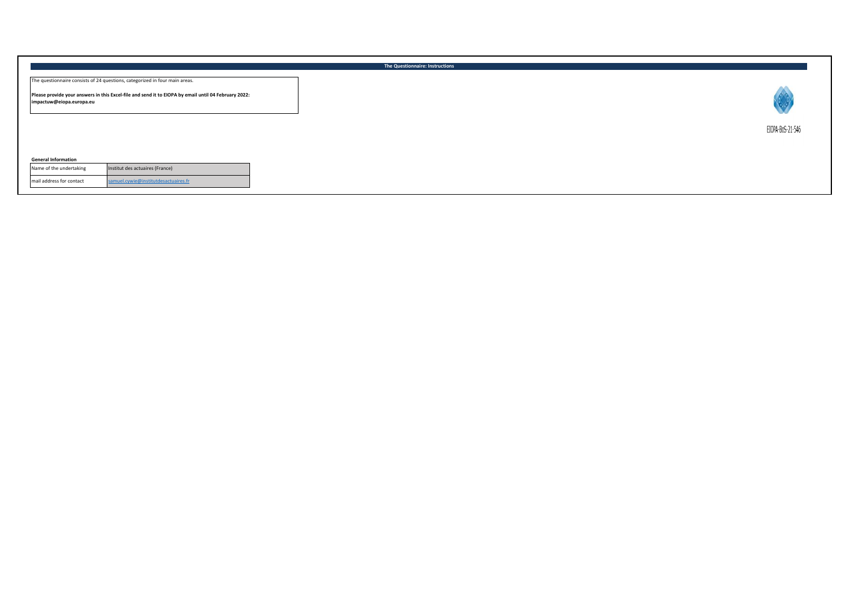|                                                                                                                                                                                                                 | The Questionnaire: Instructions |
|-----------------------------------------------------------------------------------------------------------------------------------------------------------------------------------------------------------------|---------------------------------|
| The questionnaire consists of 24 questions, categorized in four main areas.<br>Please provide your answers in this Excel-file and send it to EIOPA by email until 04 February 2022:<br>impactuw@eiopa.europa.eu |                                 |
|                                                                                                                                                                                                                 | EIOPA-BoS-21-546                |
| <b>General Information</b><br>Institut des actuaires (France)<br>Name of the undertaking                                                                                                                        |                                 |
| mail address for contact<br>samuel.cywie@institutdesactuaires.fr                                                                                                                                                |                                 |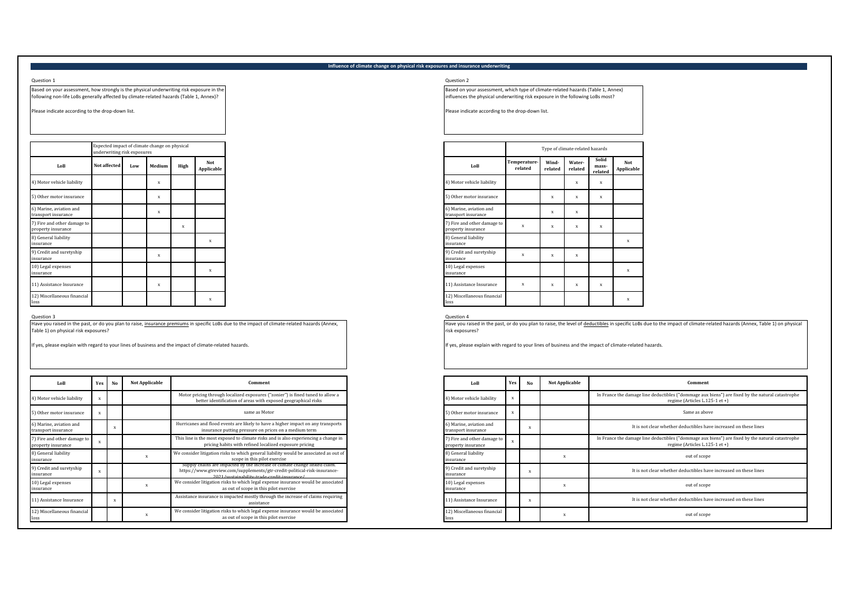# **Influence of climate change on physical risk exposures and insurance underwriting**

## Question 1 Question 2

Based on your assessment, how strongly is the physical underwriting risk exposure in the following non-life LoBs generally affected by climate-related hazards (Table 1, Annex)?

Please indicate according to the drop-down list.

|                                                   | Expected impact of climate change on physical<br>underwriting risk exposures |     |              |      |                   |
|---------------------------------------------------|------------------------------------------------------------------------------|-----|--------------|------|-------------------|
| LoB                                               | <b>Not affected</b>                                                          | Low | Medium       | High | Not<br>Applicable |
| 4) Motor vehicle liability                        |                                                                              |     | $\mathbf x$  |      |                   |
| 5) Other motor insurance                          |                                                                              |     | X            |      |                   |
| 6) Marine, aviation and<br>transport insurance    |                                                                              |     | X            |      |                   |
| 7) Fire and other damage to<br>property insurance |                                                                              |     |              | X    |                   |
| 8) General liability<br>insurance                 |                                                                              |     |              |      | $\mathbf x$       |
| 9) Credit and suretyship<br>insurance             |                                                                              |     | $\mathbf x$  |      |                   |
| 10) Legal expenses<br>insurance                   |                                                                              |     |              |      | $\mathbf x$       |
| 11) Assistance Insurance                          |                                                                              |     | $\mathbf{x}$ |      |                   |
| 12) Miscellaneous financial<br>loss               |                                                                              |     |              |      | x                 |

Question 3 Question 4 Have you raised in the past, or do you plan to raise, insurance premiums in specific LoBs due to the impact of climate-related hazards (Annex, Table 1) on physical risk exposures?

If yes, please explain with regard to your lines of business and the impact of climate-related hazards.

| LoB                                               | Yes | No | Not Applicable | Comment                                                                                                                                                                                                |
|---------------------------------------------------|-----|----|----------------|--------------------------------------------------------------------------------------------------------------------------------------------------------------------------------------------------------|
| 4) Motor vehicle liability                        |     |    |                | Motor pricing through localized exposures ("zonier") is fined tuned to allow a<br>better identification of areas with exposed geographical risks                                                       |
| 5) Other motor insurance                          |     |    |                | same as Motor                                                                                                                                                                                          |
| 6) Marine, aviation and<br>transport insurance    |     | x  |                | Hurricanes and flood events are likely to have a higher impact on any transports<br>insurance putting pressure on prices on a medium term                                                              |
| 7) Fire and other damage to<br>property insurance |     |    |                | This line is the most exposed to climate risks and is also experiencing a change in<br>pricing habits with refined localized exposure pricing                                                          |
| 8) General liability<br>insurance                 |     |    | X              | We consider litigation risks to which general liability would be associated as out of<br>scope in this pilot exercise                                                                                  |
| 9) Credit and suretyship<br>insurance             |     |    |                | supply chains are impacted by the increase of climate change linked claim.<br>https://www.gtreview.com/supplements/gtr-credit-political-risk-insurance-<br>2021/euctainability.trade.credit.incurance/ |
| 10) Legal expenses<br>insurance                   |     |    | x              | We consider litigation risks to which legal expense insurance would be associated<br>as out of scope in this pilot exercise                                                                            |
| 11) Assistance Insurance                          |     | x  |                | Assistance insurance is impacted mostly through the increase of claims requiring<br>assistance                                                                                                         |
| 12) Miscellaneous financial<br>oss                |     |    | $\bf{x}$       | We consider litigation risks to which legal expense insurance would be associated<br>as out of scope in this pilot exercise                                                                            |

Based on your assessment, which type of climate-related hazards (Table 1, Annex) influences the physical underwriting risk exposure in the following LoBs most?

Please indicate according to the drop-down list.

|              | underwriting risk exposures | Expected impact of climate change on physical |      |                   |
|--------------|-----------------------------|-----------------------------------------------|------|-------------------|
| Not affected | Low                         | Medium                                        | High | Not<br>Applicable |
|              |                             | $\mathbf x$                                   |      |                   |
|              |                             | X                                             |      |                   |
| $\mathbf x$  |                             |                                               |      |                   |
| $\mathbf x$  |                             |                                               |      |                   |
| $\mathbf{x}$ |                             |                                               |      |                   |
| $\mathbf{x}$ |                             |                                               |      |                   |
| $\mathbf{x}$ |                             |                                               |      |                   |
| X            |                             |                                               |      |                   |
| $\mathbf x$  |                             |                                               |      |                   |

Have you raised in the past, or do you plan to raise, the level of deductibles in specific LoBs due to the impact of climate-related hazards (Annex, Table 1) on physical risk exposures?

If yes, please explain with regard to your lines of business and the impact of climate-related hazards.

| Not Applicable | Comment                                                                                                                                                                                                | LoB                                               | Yes | No | <b>Not Applicable</b> | Comment                                                                                                                            |
|----------------|--------------------------------------------------------------------------------------------------------------------------------------------------------------------------------------------------------|---------------------------------------------------|-----|----|-----------------------|------------------------------------------------------------------------------------------------------------------------------------|
|                | Motor pricing through localized exposures ("zonier") is fined tuned to allow a<br>better identification of areas with exposed geographical risks                                                       | 4) Motor vehicle liability                        |     |    |                       | In France the damage line deductibles ("dommage aux biens") are fixed by the natural catastrophe<br>regime (Articles L.125-1 et +) |
|                | same as Motor                                                                                                                                                                                          | 5) Other motor insurance                          |     |    |                       | Same as above                                                                                                                      |
|                | Hurricanes and flood events are likely to have a higher impact on any transports<br>insurance putting pressure on prices on a medium term                                                              | 6) Marine, aviation and<br>transport insurance    |     |    |                       | It is not clear whether deductibles have increased on these lines                                                                  |
|                | This line is the most exposed to climate risks and is also experiencing a change in<br>pricing habits with refined localized exposure pricing                                                          | 7) Fire and other damage to<br>property insurance |     |    |                       | In France the damage line deductibles ("dommage aux biens") are fixed by the natural catastrophe<br>regime (Articles L.125-1 et +) |
|                | We consider litigation risks to which general liability would be associated as out of<br>scope in this pilot exercise                                                                                  | 8) General liability<br>insurance                 |     |    |                       | out of scope                                                                                                                       |
|                | Supply chains are impacted by the increase of climate change linked claim.<br>https://www.gtreview.com/supplements/gtr-credit-political-risk-insurance-<br>2021/enetainability-trade-credit-incurance/ | 9) Credit and suretyship<br>insurance             |     |    |                       | It is not clear whether deductibles have increased on these lines                                                                  |
|                | We consider litigation risks to which legal expense insurance would be associated<br>as out of scope in this pilot exercise                                                                            | 10) Legal expenses<br>insurance                   |     |    |                       | out of scope                                                                                                                       |
|                | Assistance insurance is impacted mostly through the increase of claims requiring<br>assistance                                                                                                         | 11) Assistance Insurance                          |     |    |                       | It is not clear whether deductibles have increased on these lines                                                                  |
|                | We consider litigation risks to which legal expense insurance would be associated<br>as out of scope in this pilot exercise                                                                            | 12) Miscellaneous financial<br>loss               |     |    |                       | out of scope                                                                                                                       |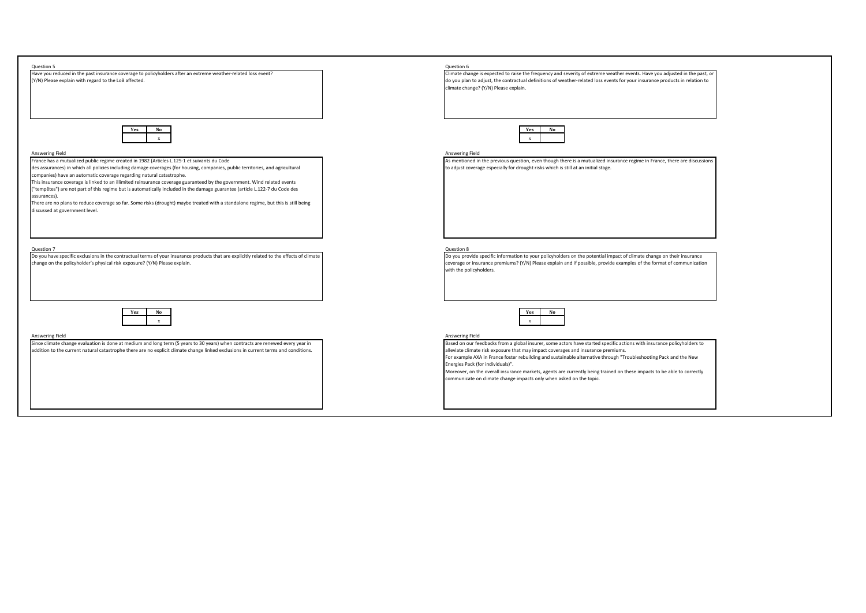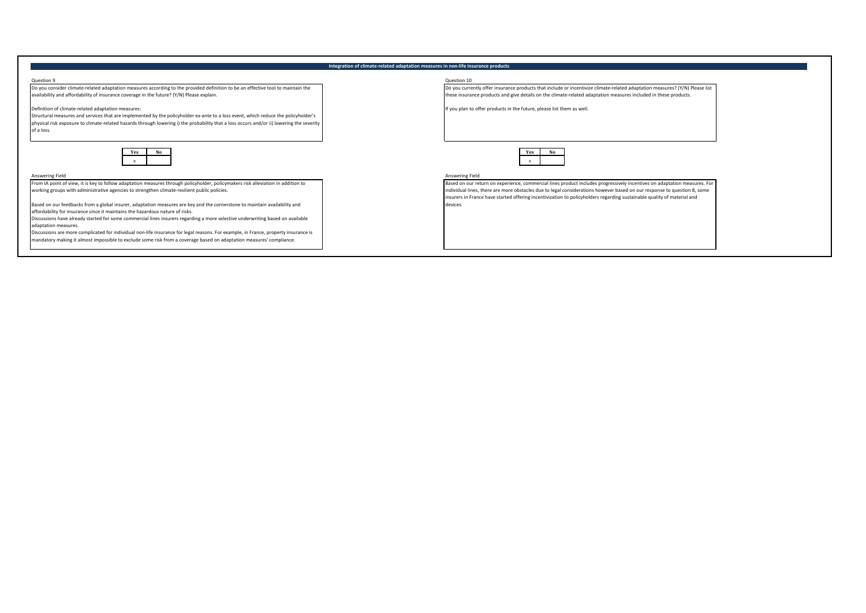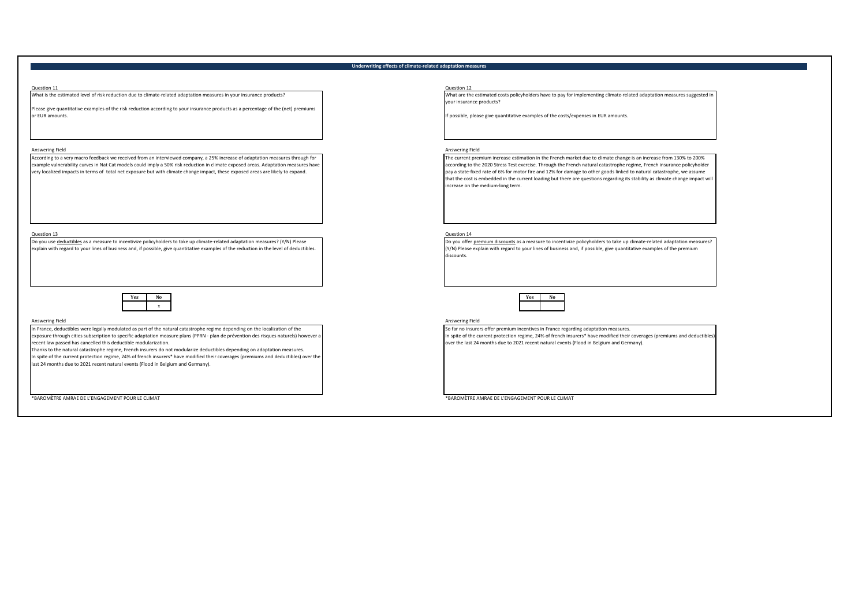## **Underwriting effects of climate-related adaptation measures**

Question 11 Question 12 What is the estimated level of risk reduction due to climate-related adaptation measures in your insurance products?

Please give quantitative examples of the risk reduction according to your insurance products as a percentage of the (net) premiums or EUR amounts.

According to a very macro feedback we received from an interviewed company, a 25% increase of adaptation measures through for example vulnerability curves in Nat Cat models could imply a 50% risk reduction in climate exposed areas. Adaptation measures have very localized impacts in terms of total net exposure but with climate change impact, these exposed areas are likely to expand.

Question 13<br>Do you use <u>deductibles</u> as a measure to incentivize policyholders to take up climate-related adaptation measures? (Y/N) Please **computer and a computer of the computer** of the subset of polyou offer explain with regard to your lines of business and, if possible, give quantitative examples of the reduction in the level of deductibles.



In France, deductibles were legally modulated as part of the natural catastrophe regime depending on the localization of the exposure through cities subscription to specific adaptation measure plans (PPRN - plan de prévention des risques naturels) however a recent law passed has cancelled this deductible modularization.

Thanks to the natural catastrophe regime, French insurers do not modularize deductibles depending on adaptation measures. In spite of the current protection regime, 24% of french insurers\* have modified their coverages (premiums and deductibles) over the last 24 months due to 2021 recent natural events (Flood in Belgium and Germany).

\*BAROMÈTRE AMRAE DE L'ENGAGEMENT POUR LE CLIMAT \*BAROMÈTRE AMRAE DE L'ENGAGEMENT POUR LE CLIMAT

What are the estimated costs policyholders have to pay for implementing climate-related adaptation measures suggested in your insurance products?

If possible, please give quantitative examples of the costs/expenses in EUR amounts.

## Answering Field **Answering Field** Answering Field **Answering Field** Answering Field Answering Field Answering Field

The current premium increase estimation in the French market due to climate change is an increase from 130% to 200% according to the 2020 Stress Test exercise. Through the French natural catastrophe regime, French insurance policyholder pay a state-fixed rate of 6% for motor fire and 12% for damage to other goods linked to natural catastrophe, we assume<br>that the cost is embedded in the current loading but there are questions regarding its stability as cli increase on the medium-long term.

Do you offer premium discounts as a measure to incentivize policyholders to take up climate-related adaptation measures? (Y/N) Please explain with regard to your lines of business and, if possible, give quantitative examples of the premium discounts.



Answering Field Answering Field

So far no insurers offer premium incentives in France regarding adaptation measures. In spite of the current protection regime, 24% of french insurers\* have modified their coverages (premiums and deductible over the last 24 months due to 2021 recent natural events (Flood in Belgium and Germany).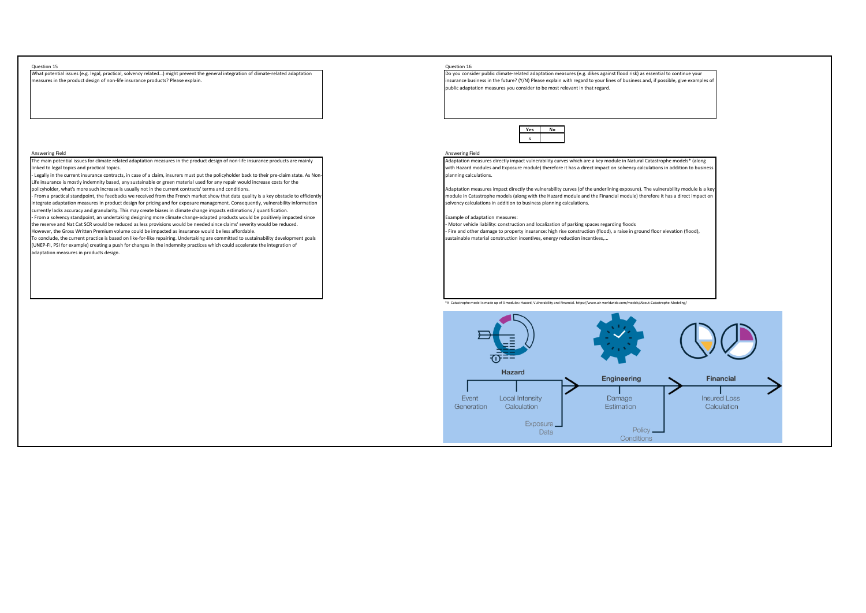Question 15 Question 16 What potential issues (e.g. legal, practical, solvency related…) might prevent the general integration of climate-related adaptation measures in the product design of non-life insurance products? Please explain.

## Answering Field Answering Field

The main potential issues for climate related adaptation measures in the product design of non-life insurance products are mainly linked to legal topics and practical topics.

Legally in the current insurance contracts, in case of a claim, insurers must put the policyholder back to their pre-claim state. As Non Life insurance is mostly indemnity based, any sustainable or green material used for any repair would increase costs for the policyholder, what's more such increase is usually not in the current contracts' terms and conditions.

From a practical standpoint, the feedbacks we received from the French market show that data quality is a key obstacle to efficient integrate adaptation measures in product design for pricing and for exposure management. Consequently, vulnerability information currently lacks accuracy and granularity. This may create biases in climate change impacts estimations / quantification. - From a solvency standpoint, an undertaking designing more climate change-adapted products would be positively impacted since the reserve and Nat Cat SCR would be reduced as less provisions would be needed since claims' severity would be reduced. However, the Gross Written Premium volume could be impacted as insurance would be less affordable.

To conclude, the current practice is based on like-for-like repairing. Undertaking are committed to sustainability development goals (UNEP-FI, PSI for example) creating a push for changes in the indemnity practices which could accelerate the integration of adaptation measures in products design.

Do you consider public climate-related adaptation measures (e.g. dikes against flood risk) as essential to continue your insurance business in the future? (Y/N) Please explain with regard to your lines of business and, if possible, give examples of public adaptation measures you consider to be most relevant in that regard.



Adaptation measures directly impact vulnerability curves which are a key module in Natural Catastrophe models\* (along with Hazard modules and Exposure module) therefore it has a direct impact on solvency calculations in addition to business planning calculations.

Adaptation measures impact directly the vulnerability curves (of the underlining exposure). The vulnerability module is a key module in Catastrophe models (along with the Hazard module and the Financial module) therefore it has a direct impact on solvency calculations in addition to business planning calculations.

## Example of adaptation measures:

- Motor vehicle liability: construction and localization of parking spaces regarding floods - Fire and other damage to property insurance: high rise construction (flood), a raise in ground floor elevation (flood), sustainable material construction incentives, energy reduction incentives,...

\*A Catastrophe model is made up of 3 modules: Hazard, Vulnerability and Financial. https://www.air-worldwide.com/models/About-Catastrophe-Modeling/

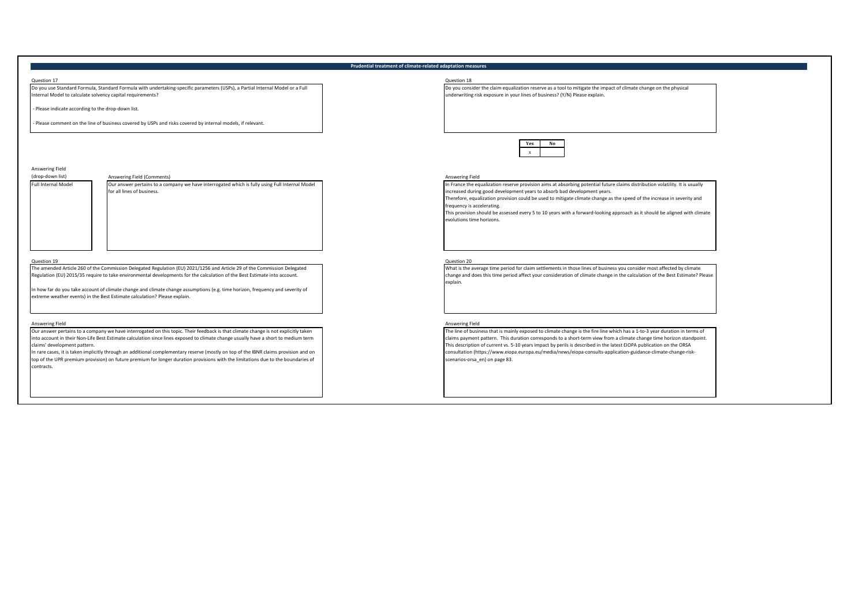## **Prudential treatment of climate-related adaptation measures**

Question 17 Question 18 Do you use Standard Formula, Standard Formula with undertaking-specific parameters (USPs), a Partial Internal Model or a Full Internal Model to calculate solvency capital requirements?

- Please indicate according to the drop-down list.

- Please comment on the line of business covered by USPs and risks covered by internal models, if relevant.

Answering Field

-<br>Ill Internal Mode

Our answer pertains to a company we have interrogated which is fully using Full Internal Model for all lines of business.

Question 19 Question 20 The amended Article 260 of the Commission Delegated Regulation (EU) 2021/1256 and Article 29 of the Commission Delegated Regulation (EU) 2015/35 require to take environmental developments for the calculation of the Best Estimate into account.

In how far do you take account of climate change and climate change assumptions (e.g. time horizon, frequency and severity of extreme weather events) in the Best Estimate calculation? Please explain.

Our answer pertains to a company we have interrogated on this topic. Their feedback is that climate change is not explicitly taken into account in their Non-Life Best Estimate calculation since lines exposed to climate change usually have a short to medium term claims' development pattern.

In rare cases, it is taken implicitly through an additional complementary reserve (mostly on top of the IBNR claims provision and on top of the UPR premium provision) on future premium for longer duration provisions with the limitations due to the boundaries of contracts.

Do you consider the claim equalization reserve as a tool to mitigate the impact of climate change on the physical underwriting risk exposure in your lines of business? (Y/N) Please explain.



## Answering Field (Comments) **Answering Field** (Comments)

In France the equalization reserve provision aims at absorbing potential future claims distribution volatility. It is usually ncreased during good development years to absorb bad development years.

Therefore, equalization provision could be used to mitigate climate change as the speed of the increase in severity and

frequency is accelerating.

This provision should be assessed every 5 to 10 years with a forward-looking approach as it should be aligned with climate evolutions time horizons.

What is the average time period for claim settlements in those lines of business you consider most affected by climate change and does this time period affect your consideration of climate change in the calculation of the Best Estimate? Please explain.

## Answering Field Answering Field

The line of business that is mainly exposed to climate change is the fire line which has a 1-to-3 year duration in terms of claims payment pattern. This duration corresponds to a short-term view from a climate change time horizon standpoint. This description of current vs. 5-10 years impact by perils is described in the latest EIOPA publication on the ORSA consultation (https://www.eiopa.europa.eu/media/news/eiopa-consults-application-guidance-climate-change-riskscenarios-orsa\_en) on page 83.